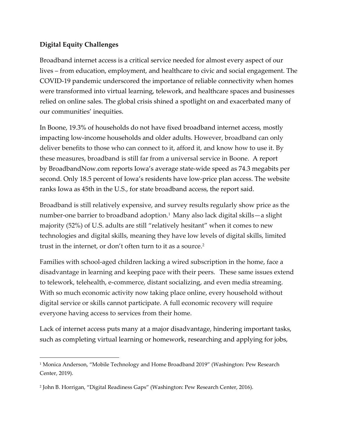## **Digital Equity Challenges**

 $\overline{a}$ 

Broadband internet access is a critical service needed for almost every aspect of our lives – from education, employment, and healthcare to civic and social engagement. The COVID-19 pandemic underscored the importance of reliable connectivity when homes were transformed into virtual learning, telework, and healthcare spaces and businesses relied on online sales. The global crisis shined a spotlight on and exacerbated many of our communities' inequities.

In Boone, 19.3% of households do not have fixed broadband internet access, mostly impacting low-income households and older adults. However, broadband can only deliver benefits to those who can connect to it, afford it, and know how to use it. By these measures, broadband is still far from a universal service in Boone. A report by [BroadbandNow.com](https://broadbandnow.com/Iowa) reports Iowa's average state-wide speed as 74.3 megabits per second. Only 18.5 percent of Iowa's residents have low-price plan access. The website ranks Iowa as 45th in the U.S., for state broadband access, the report said.

Broadband is still relatively expensive, and survey results regularly show price as the number-one barrier to broadband adoption.<sup>1</sup> Many also lack digital skills—a slight majority (52%) of U.S. adults are still "relatively hesitant" when it comes to new technologies and digital skills, meaning they have low levels of digital skills, limited trust in the internet, or don't often turn to it as a source.<sup>2</sup>

Families with school-aged children lacking a wired subscription in the home, face a disadvantage in learning and keeping pace with their peers. These same issues extend to telework, telehealth, e-commerce, distant socializing, and even media streaming. With so much economic activity now taking place online, every household without digital service or skills cannot participate. A full economic recovery will require everyone having access to services from their home.

Lack of internet access puts many at a major disadvantage, hindering important tasks, such as completing virtual learning or homework, researching and applying for jobs,

<sup>&</sup>lt;sup>1</sup> Monica Anderson, "Mobile Technology and Home Broadband 2019" (Washington: Pew Research Center, 2019).

<sup>2</sup> John B. Horrigan, "Digital Readiness Gaps" (Washington: Pew Research Center, 2016).